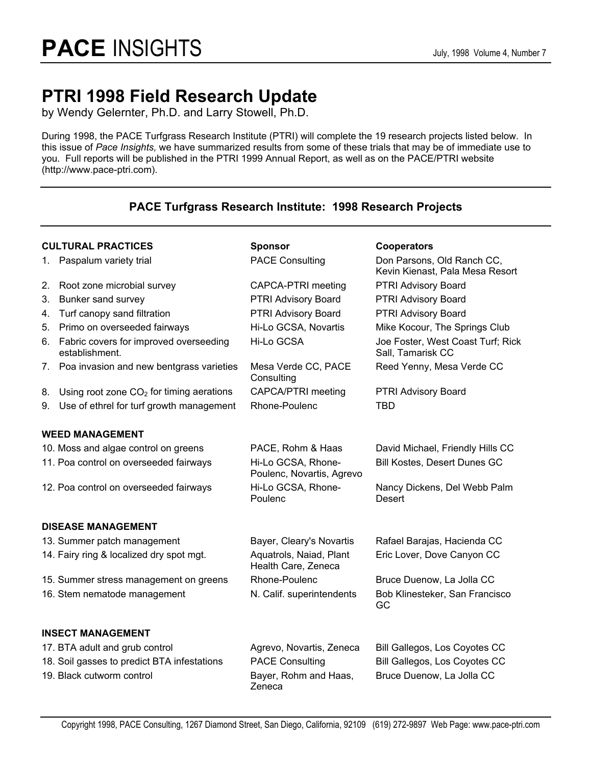# **PTRI 1998 Field Research Update**

by Wendy Gelernter, Ph.D. and Larry Stowell, Ph.D.

During 1998, the PACE Turfgrass Research Institute (PTRI) will complete the 19 research projects listed below. In this issue of *Pace Insights,* we have summarized results from some of these trials that may be of immediate use to you. Full reports will be published in the PTRI 1999 Annual Report, as well as on the PACE/PTRI website (http://www.pace-ptri.com).

# **PACE Turfgrass Research Institute: 1998 Research Projects**

| <b>CULTURAL PRACTICES</b> |                                                             | <b>Sponsor</b>                                  | <b>Cooperators</b>                                            |  |  |  |
|---------------------------|-------------------------------------------------------------|-------------------------------------------------|---------------------------------------------------------------|--|--|--|
| 1.                        | Paspalum variety trial                                      | <b>PACE Consulting</b>                          | Don Parsons, Old Ranch CC,<br>Kevin Kienast, Pala Mesa Resort |  |  |  |
| 2.                        | Root zone microbial survey                                  | CAPCA-PTRI meeting                              | PTRI Advisory Board                                           |  |  |  |
| 3.                        | Bunker sand survey                                          | PTRI Advisory Board                             | PTRI Advisory Board                                           |  |  |  |
| 4.                        | Turf canopy sand filtration                                 | PTRI Advisory Board                             | PTRI Advisory Board                                           |  |  |  |
| 5.                        | Primo on overseeded fairways                                | Hi-Lo GCSA, Novartis                            | Mike Kocour, The Springs Club                                 |  |  |  |
|                           | 6. Fabric covers for improved overseeding<br>establishment. | Hi-Lo GCSA                                      | Joe Foster, West Coast Turf; Rick<br>Sall, Tamarisk CC        |  |  |  |
|                           | 7. Poa invasion and new bentgrass varieties                 | Mesa Verde CC, PACE<br>Consulting               | Reed Yenny, Mesa Verde CC                                     |  |  |  |
| 8.                        | Using root zone $CO2$ for timing aerations                  | CAPCA/PTRI meeting                              | PTRI Advisory Board                                           |  |  |  |
| 9.                        | Use of ethrel for turf growth management                    | Rhone-Poulenc                                   | <b>TBD</b>                                                    |  |  |  |
|                           | <b>WEED MANAGEMENT</b>                                      |                                                 |                                                               |  |  |  |
|                           | 10. Moss and algae control on greens                        | PACE, Rohm & Haas                               | David Michael, Friendly Hills CC                              |  |  |  |
|                           | 11. Poa control on overseeded fairways                      | Hi-Lo GCSA, Rhone-<br>Poulenc, Novartis, Agrevo | Bill Kostes, Desert Dunes GC                                  |  |  |  |
|                           | 12. Poa control on overseeded fairways                      | Hi-Lo GCSA, Rhone-<br>Poulenc                   | Nancy Dickens, Del Webb Palm<br>Desert                        |  |  |  |
|                           | <b>DISEASE MANAGEMENT</b>                                   |                                                 |                                                               |  |  |  |
|                           | 13. Summer patch management                                 | Bayer, Cleary's Novartis                        | Rafael Barajas, Hacienda CC                                   |  |  |  |
|                           | 14. Fairy ring & localized dry spot mgt.                    | Aquatrols, Naiad, Plant<br>Health Care, Zeneca  | Eric Lover, Dove Canyon CC                                    |  |  |  |
|                           | 15. Summer stress management on greens                      | Rhone-Poulenc                                   | Bruce Duenow, La Jolla CC                                     |  |  |  |
|                           | 16. Stem nematode management                                | N. Calif. superintendents                       | Bob Klinesteker, San Francisco<br>GC                          |  |  |  |
|                           | <b>INSECT MANAGEMENT</b>                                    |                                                 |                                                               |  |  |  |
|                           | 17. BTA adult and grub control                              | Agrevo, Novartis, Zeneca                        | Bill Gallegos, Los Coyotes CC                                 |  |  |  |
|                           | 18. Soil gasses to predict BTA infestations                 | <b>PACE Consulting</b>                          | Bill Gallegos, Los Coyotes CC                                 |  |  |  |
|                           | 19. Black cutworm control                                   | Bayer, Rohm and Haas,<br>Zeneca                 | Bruce Duenow, La Jolla CC                                     |  |  |  |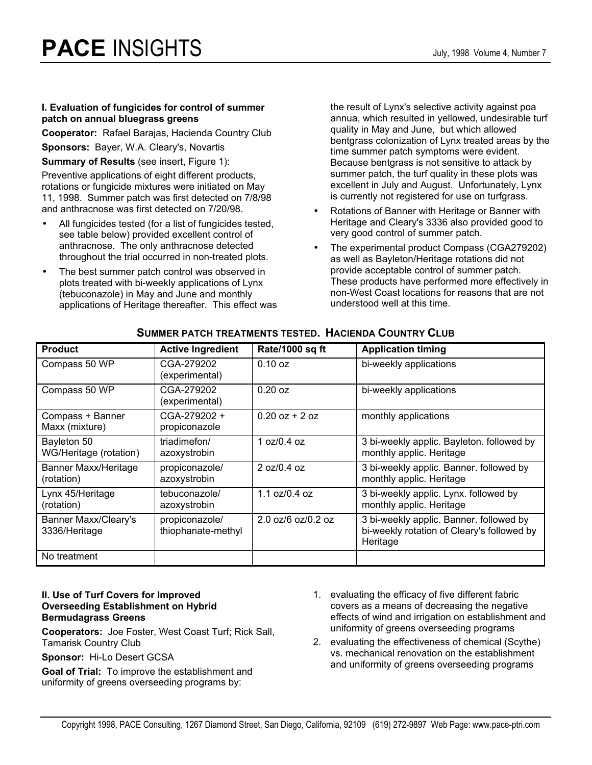#### **I. Evaluation of fungicides for control of summer patch on annual bluegrass greens**

**Cooperator:** Rafael Barajas, Hacienda Country Club

**Sponsors:** Bayer, W.A. Cleary's, Novartis

**Summary of Results** (see insert, Figure 1):

Preventive applications of eight different products, rotations or fungicide mixtures were initiated on May 11, 1998. Summer patch was first detected on 7/8/98 and anthracnose was first detected on 7/20/98.

- All fungicides tested (for a list of fungicides tested, see table below) provided excellent control of anthracnose. The only anthracnose detected throughout the trial occurred in non-treated plots.
- The best summer patch control was observed in plots treated with bi-weekly applications of Lynx (tebuconazole) in May and June and monthly applications of Heritage thereafter. This effect was

the result of Lynx's selective activity against poa annua, which resulted in yellowed, undesirable turf quality in May and June, but which allowed bentgrass colonization of Lynx treated areas by the time summer patch symptoms were evident. Because bentgrass is not sensitive to attack by summer patch, the turf quality in these plots was excellent in July and August. Unfortunately, Lynx is currently not registered for use on turfgrass.

- Rotations of Banner with Heritage or Banner with Heritage and Cleary's 3336 also provided good to very good control of summer patch.
- The experimental product Compass (CGA279202) as well as Bayleton/Heritage rotations did not provide acceptable control of summer patch. These products have performed more effectively in non-West Coast locations for reasons that are not understood well at this time.

| <b>Product</b>                            | <b>Active Ingredient</b>             | Rate/1000 sq ft      | <b>Application timing</b>                                                                         |
|-------------------------------------------|--------------------------------------|----------------------|---------------------------------------------------------------------------------------------------|
| Compass 50 WP                             | CGA-279202<br>(experimental)         | 0.10 oz              | bi-weekly applications                                                                            |
| Compass 50 WP                             | CGA-279202<br>(experimental)         | $0.20$ oz            | bi-weekly applications                                                                            |
| Compass + Banner<br>Maxx (mixture)        | CGA-279202 +<br>propiconazole        | $0.20$ oz + 2 oz     | monthly applications                                                                              |
| Bayleton 50<br>WG/Heritage (rotation)     | triadimefon/<br>azoxystrobin         | 1 oz/0.4 oz          | 3 bi-weekly applic. Bayleton. followed by<br>monthly applic. Heritage                             |
| <b>Banner Maxx/Heritage</b><br>(rotation) | propiconazole/<br>azoxystrobin       | 2 oz/0.4 oz          | 3 bi-weekly applic. Banner. followed by<br>monthly applic. Heritage                               |
| Lynx 45/Heritage<br>(rotation)            | tebuconazole/<br>azoxystrobin        | 1.1 $oz/0.4$ oz      | 3 bi-weekly applic. Lynx. followed by<br>monthly applic. Heritage                                 |
| Banner Maxx/Cleary's<br>3336/Heritage     | propiconazole/<br>thiophanate-methyl | $2.0$ oz/6 oz/0.2 oz | 3 bi-weekly applic. Banner. followed by<br>bi-weekly rotation of Cleary's followed by<br>Heritage |
| No treatment                              |                                      |                      |                                                                                                   |

## **SUMMER PATCH TREATMENTS TESTED. HACIENDA COUNTRY CLUB**

#### **II. Use of Turf Covers for Improved Overseeding Establishment on Hybrid Bermudagrass Greens**

**Cooperators:** Joe Foster, West Coast Turf; Rick Sall, Tamarisk Country Club

**Sponsor:** Hi-Lo Desert GCSA

**Goal of Trial:** To improve the establishment and uniformity of greens overseeding programs by:

- 1. evaluating the efficacy of five different fabric covers as a means of decreasing the negative effects of wind and irrigation on establishment and uniformity of greens overseeding programs
- 2. evaluating the effectiveness of chemical (Scythe) vs. mechanical renovation on the establishment and uniformity of greens overseeding programs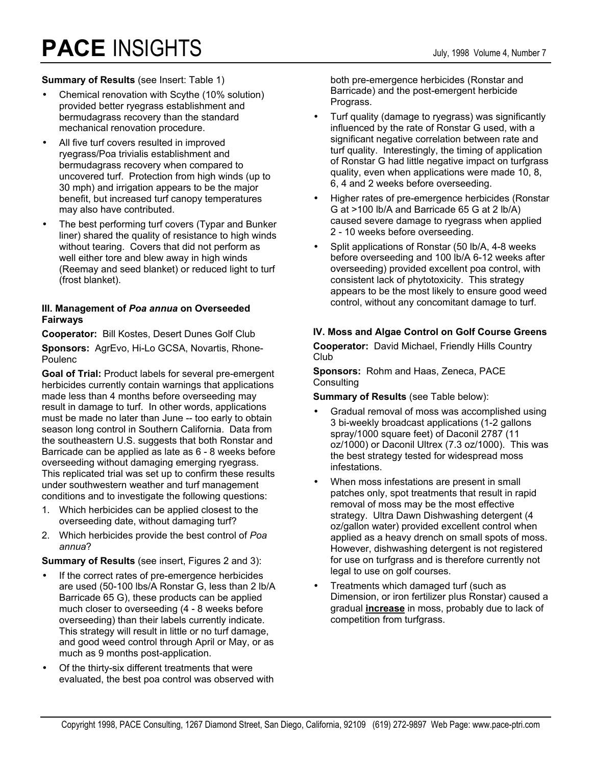# **PACE** INSIGHTS July, 1998 Volume 4, Number 7

#### **Summary of Results** (see Insert: Table 1)

- Chemical renovation with Scythe (10% solution) provided better ryegrass establishment and bermudagrass recovery than the standard mechanical renovation procedure.
- All five turf covers resulted in improved ryegrass/Poa trivialis establishment and bermudagrass recovery when compared to uncovered turf. Protection from high winds (up to 30 mph) and irrigation appears to be the major benefit, but increased turf canopy temperatures may also have contributed.
- The best performing turf covers (Typar and Bunker liner) shared the quality of resistance to high winds without tearing. Covers that did not perform as well either tore and blew away in high winds (Reemay and seed blanket) or reduced light to turf (frost blanket).

#### **III. Management of** *Poa annua* **on Overseeded Fairways**

**Cooperator:** Bill Kostes, Desert Dunes Golf Club

**Sponsors:** AgrEvo, Hi-Lo GCSA, Novartis, Rhone-Poulenc

**Goal of Trial:** Product labels for several pre-emergent herbicides currently contain warnings that applications made less than 4 months before overseeding may result in damage to turf. In other words, applications must be made no later than June -- too early to obtain season long control in Southern California. Data from the southeastern U.S. suggests that both Ronstar and Barricade can be applied as late as 6 - 8 weeks before overseeding without damaging emerging ryegrass. This replicated trial was set up to confirm these results under southwestern weather and turf management conditions and to investigate the following questions:

- 1. Which herbicides can be applied closest to the overseeding date, without damaging turf?
- 2. Which herbicides provide the best control of *Poa annua*?

**Summary of Results** (see insert, Figures 2 and 3):

- If the correct rates of pre-emergence herbicides are used (50-100 lbs/A Ronstar G, less than 2 lb/A Barricade 65 G), these products can be applied much closer to overseeding (4 - 8 weeks before overseeding) than their labels currently indicate. This strategy will result in little or no turf damage, and good weed control through April or May, or as much as 9 months post-application.
- Of the thirty-six different treatments that were evaluated, the best poa control was observed with

both pre-emergence herbicides (Ronstar and Barricade) and the post-emergent herbicide Prograss.

- Turf quality (damage to ryegrass) was significantly influenced by the rate of Ronstar G used, with a significant negative correlation between rate and turf quality. Interestingly, the timing of application of Ronstar G had little negative impact on turfgrass quality, even when applications were made 10, 8, 6, 4 and 2 weeks before overseeding.
- Higher rates of pre-emergence herbicides (Ronstar G at >100 lb/A and Barricade 65 G at 2 lb/A) caused severe damage to ryegrass when applied 2 - 10 weeks before overseeding.
- Split applications of Ronstar (50 lb/A, 4-8 weeks before overseeding and 100 lb/A 6-12 weeks after overseeding) provided excellent poa control, with consistent lack of phytotoxicity. This strategy appears to be the most likely to ensure good weed control, without any concomitant damage to turf.

## **IV. Moss and Algae Control on Golf Course Greens**

**Cooperator:** David Michael, Friendly Hills Country Club

**Sponsors:** Rohm and Haas, Zeneca, PACE **Consulting** 

**Summary of Results** (see Table below):

- Gradual removal of moss was accomplished using 3 bi-weekly broadcast applications (1-2 gallons spray/1000 square feet) of Daconil 2787 (11 oz/1000) or Daconil Ultrex (7.3 oz/1000). This was the best strategy tested for widespread moss infestations.
- When moss infestations are present in small patches only, spot treatments that result in rapid removal of moss may be the most effective strategy. Ultra Dawn Dishwashing detergent (4 oz/gallon water) provided excellent control when applied as a heavy drench on small spots of moss. However, dishwashing detergent is not registered for use on turfgrass and is therefore currently not legal to use on golf courses.
- Treatments which damaged turf (such as Dimension, or iron fertilizer plus Ronstar) caused a gradual **increase** in moss, probably due to lack of competition from turfgrass.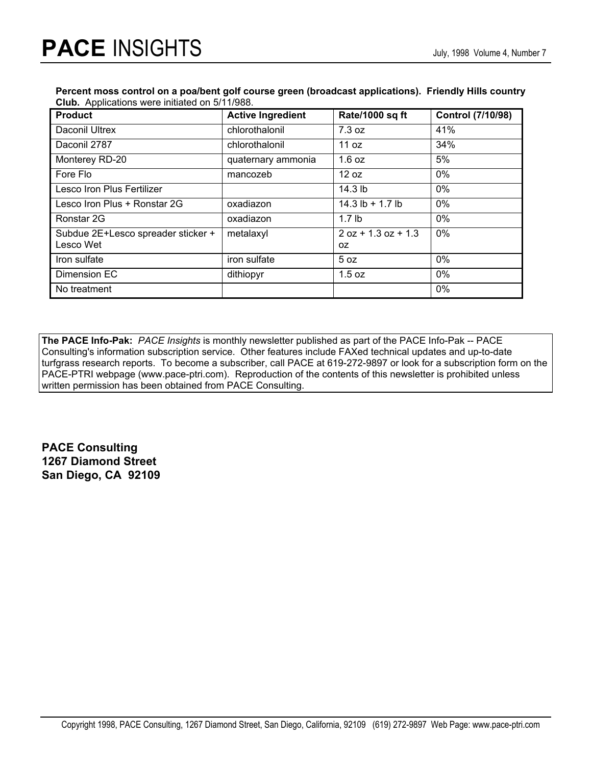#### **Percent moss control on a poa/bent golf course green (broadcast applications). Friendly Hills country Club.** Applications were initiated on 5/11/988.

| <b>Product</b>                                  | <b>Active Ingredient</b> | Rate/1000 sq ft             | <b>Control (7/10/98)</b> |
|-------------------------------------------------|--------------------------|-----------------------------|--------------------------|
| Daconil Ultrex                                  | chlorothalonil           | 7.3 oz                      | 41%                      |
| Daconil 2787                                    | chlorothalonil           | 11 $oz$                     | 34%                      |
| Monterey RD-20                                  | quaternary ammonia       | 1.6 oz                      | 5%                       |
| Fore Flo                                        | mancozeb                 | 12 oz                       | $0\%$                    |
| Lesco Iron Plus Fertilizer                      |                          | 14.3 lb                     | $0\%$                    |
| Lesco Iron Plus + Ronstar 2G                    | oxadiazon                | 14.3 $lb + 1.7 lb$          | $0\%$                    |
| Ronstar 2G                                      | oxadiazon                | 1.7 <sub>lb</sub>           | $0\%$                    |
| Subdue 2E+Lesco spreader sticker +<br>Lesco Wet | metalaxyl                | $2$ oz + 1.3 oz + 1.3<br>0Z | 0%                       |
| Iron sulfate                                    | iron sulfate             | 5 oz                        | $0\%$                    |
| Dimension EC                                    | dithiopyr                | 1.5 oz                      | $0\%$                    |
| No treatment                                    |                          |                             | 0%                       |

**The PACE Info-Pak:** *PACE Insights* is monthly newsletter published as part of the PACE Info-Pak -- PACE Consulting's information subscription service. Other features include FAXed technical updates and up-to-date turfgrass research reports. To become a subscriber, call PACE at 619-272-9897 or look for a subscription form on the PACE-PTRI webpage (www.pace-ptri.com). Reproduction of the contents of this newsletter is prohibited unless written permission has been obtained from PACE Consulting.

**PACE Consulting 1267 Diamond Street San Diego, CA 92109**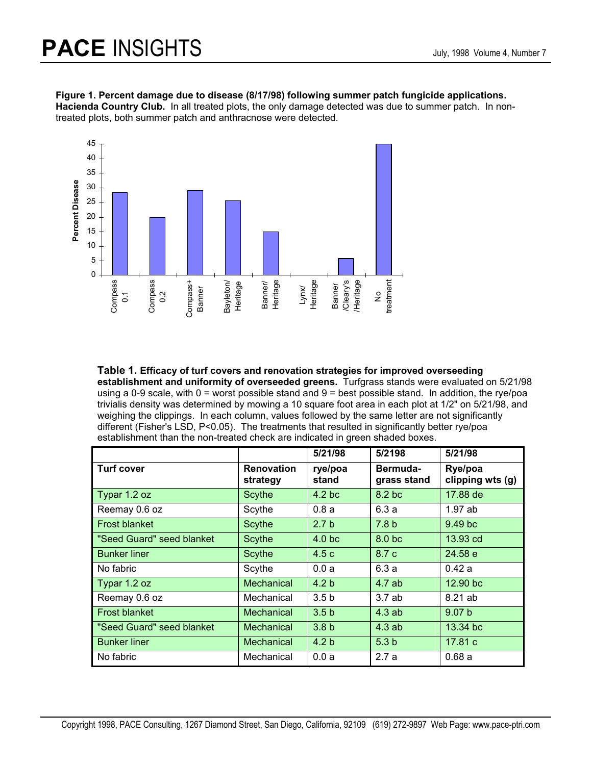#### **Figure 1. Percent damage due to disease (8/17/98) following summer patch fungicide applications.**

**Hacienda Country Club.** In all treated plots, the only damage detected was due to summer patch. In nontreated plots, both summer patch and anthracnose were detected.



**Table 1. Efficacy of turf covers and renovation strategies for improved overseeding establishment and uniformity of overseeded greens.** Turfgrass stands were evaluated on 5/21/98 using a 0-9 scale, with 0 = worst possible stand and 9 = best possible stand. In addition, the rye/poa trivialis density was determined by mowing a 10 square foot area in each plot at 1/2" on 5/21/98, and weighing the clippings. In each column, values followed by the same letter are not significantly different (Fisher's LSD, P<0.05). The treatments that resulted in significantly better rye/poa establishment than the non-treated check are indicated in green shaded boxes.

|                           |                               | 5/21/98           | 5/2198                  | 5/21/98                     |
|---------------------------|-------------------------------|-------------------|-------------------------|-----------------------------|
| <b>Turf cover</b>         | <b>Renovation</b><br>strategy | rye/poa<br>stand  | Bermuda-<br>grass stand | Rye/poa<br>clipping wts (g) |
| Typar 1.2 oz              | <b>Scythe</b>                 | 4.2 <sub>bc</sub> | 8.2 <sub>bc</sub>       | 17.88 de                    |
| Reemay 0.6 oz             | Scythe                        | 0.8a              | 6.3a                    | 1.97ab                      |
| <b>Frost blanket</b>      | <b>Scythe</b>                 | 2.7 <sub>b</sub>  | 7.8 <sub>b</sub>        | 9.49 <sub>bc</sub>          |
| "Seed Guard" seed blanket | <b>Scythe</b>                 | 4.0 <sub>bc</sub> | 8.0 <sub>b</sub>        | 13.93 cd                    |
| <b>Bunker liner</b>       | <b>Scythe</b>                 | 4.5c              | 8.7 c                   | 24.58 e                     |
| No fabric                 | Scythe                        | 0.0a              | 6.3a                    | 0.42a                       |
| Typar 1.2 oz              | <b>Mechanical</b>             | 4.2 <sub>b</sub>  | 4.7ab                   | 12.90 bc                    |
| Reemay 0.6 oz             | Mechanical                    | 3.5 <sub>b</sub>  | 3.7ab                   | 8.21 ab                     |
| <b>Frost blanket</b>      | Mechanical                    | 3.5 <sub>b</sub>  | 4.3ab                   | 9.07 <sub>b</sub>           |
| "Seed Guard" seed blanket | Mechanical                    | 3.8 <sub>b</sub>  | 4.3ab                   | 13.34 bc                    |
| <b>Bunker liner</b>       | Mechanical                    | 4.2 <sub>b</sub>  | 5.3 <sub>b</sub>        | 17.81 c                     |
| No fabric                 | Mechanical                    | 0.0a              | 2.7a                    | 0.68a                       |